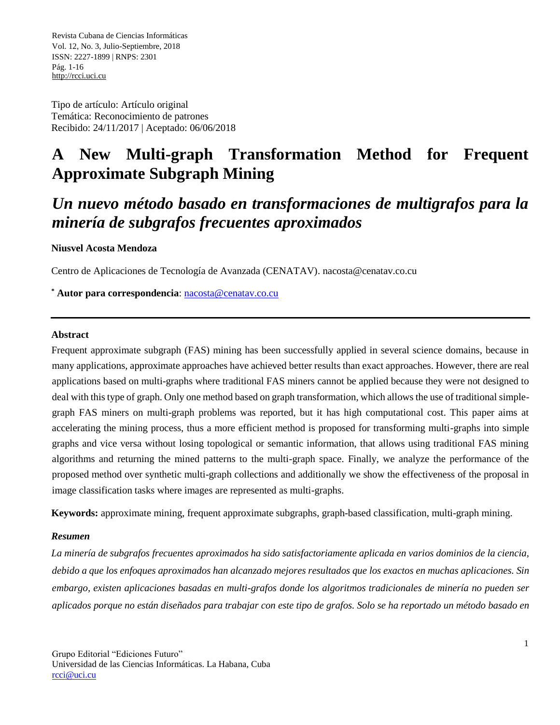Tipo de artículo: Artículo original Temática: Reconocimiento de patrones Recibido: 24/11/2017 | Aceptado: 06/06/2018

# **A New Multi-graph Transformation Method for Frequent Approximate Subgraph Mining**

# *Un nuevo método basado en transformaciones de multigrafos para la minería de subgrafos frecuentes aproximados*

### **Niusvel Acosta Mendoza**

Centro de Aplicaciones de Tecnología de Avanzada (CENATAV). nacosta@cenatav.co.cu

**\* Autor para correspondencia**: nacosta@cenatav.co.cu

#### **Abstract**

Frequent approximate subgraph (FAS) mining has been successfully applied in several science domains, because in many applications, approximate approaches have achieved better results than exact approaches. However, there are real applications based on multi-graphs where traditional FAS miners cannot be applied because they were not designed to deal with this type of graph. Only one method based on graph transformation, which allows the use of traditional simplegraph FAS miners on multi-graph problems was reported, but it has high computational cost. This paper aims at accelerating the mining process, thus a more efficient method is proposed for transforming multi-graphs into simple graphs and vice versa without losing topological or semantic information, that allows using traditional FAS mining algorithms and returning the mined patterns to the multi-graph space. Finally, we analyze the performance of the proposed method over synthetic multi-graph collections and additionally we show the effectiveness of the proposal in image classification tasks where images are represented as multi-graphs.

**Keywords:** approximate mining, frequent approximate subgraphs, graph-based classification, multi-graph mining.

#### *Resumen*

*La minería de subgrafos frecuentes aproximados ha sido satisfactoriamente aplicada en varios dominios de la ciencia, debido a que los enfoques aproximados han alcanzado mejores resultados que los exactos en muchas aplicaciones. Sin embargo, existen aplicaciones basadas en multi-grafos donde los algoritmos tradicionales de minería no pueden ser aplicados porque no están diseñados para trabajar con este tipo de grafos. Solo se ha reportado un método basado en*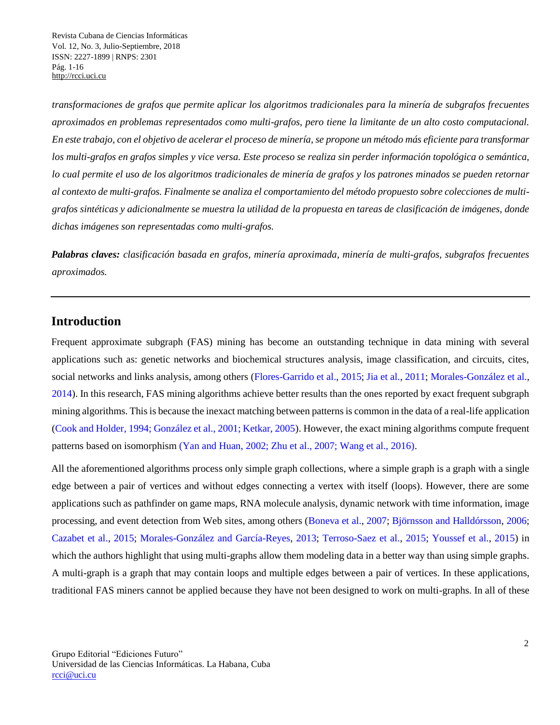*transformaciones de grafos que permite aplicar los algoritmos tradicionales para la minería de subgrafos frecuentes aproximados en problemas representados como multi-grafos, pero tiene la limitante de un alto costo computacional. En este trabajo, con el objetivo de acelerar el proceso de minería, se propone un método más eficiente para transformar los multi-grafos en grafos simples y vice versa. Este proceso se realiza sin perder información topológica o semántica, lo cual permite el uso de los algoritmos tradicionales de minería de grafos y los patrones minados se pueden retornar al contexto de multi-grafos. Finalmente se analiza el comportamiento del método propuesto sobre colecciones de multigrafos sintéticas y adicionalmente se muestra la utilidad de la propuesta en tareas de clasificación de imágenes, donde dichas imágenes son representadas como multi-grafos.*

*Palabras claves: clasificación basada en grafos, minería aproximada, minería de multi-grafos, subgrafos frecuentes aproximados.*

## **Introduction**

Frequent approximate subgraph (FAS) mining has become an outstanding technique in data mining with several applications such as: genetic networks and biochemical structures analysis, image classification, and circuits, cites, social networks and links analysis, among others (Flores-Garrido et al., 2015; Jia et al., 2011; Morales-González et al., 2014). In this research, FAS mining algorithms achieve better results than the ones reported by exact frequent subgraph mining algorithms. This is because the inexact matching between patterns is common in the data of a real-life application (Cook and Holder, 1994; González et al., 2001; Ketkar, 2005). However, the exact mining algorithms compute frequent patterns based on isomorphism (Yan and Huan, 2002; Zhu et al., 2007; Wang et al., 2016).

All the aforementioned algorithms process only simple graph collections, where a simple graph is a graph with a single edge between a pair of vertices and without edges connecting a vertex with itself (loops). However, there are some applications such as pathfinder on game maps, RNA molecule analysis, dynamic network with time information, image processing, and event detection from Web sites, among others (Boneva et al., 2007; Björnsson and Halldórsson, 2006; Cazabet et al., 2015; Morales-González and García-Reyes, 2013; Terroso-Saez et al., 2015; Youssef et al., 2015) in which the authors highlight that using multi-graphs allow them modeling data in a better way than using simple graphs. A multi-graph is a graph that may contain loops and multiple edges between a pair of vertices. In these applications, traditional FAS miners cannot be applied because they have not been designed to work on multi-graphs. In all of these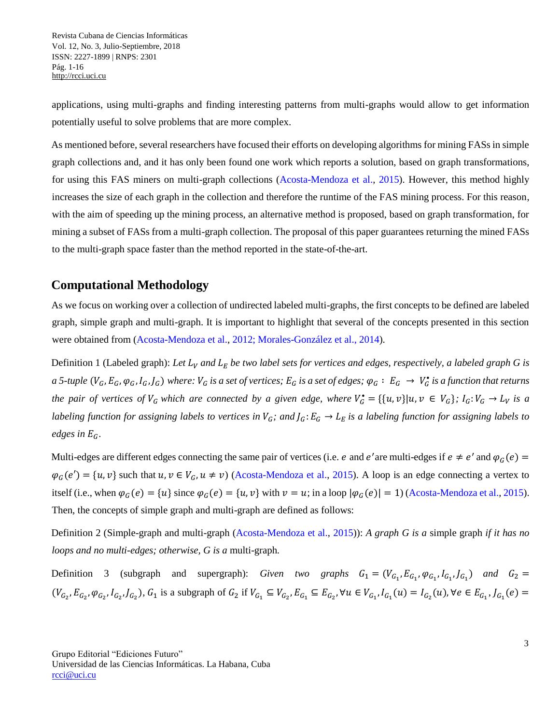applications, using multi-graphs and finding interesting patterns from multi-graphs would allow to get information potentially useful to solve problems that are more complex.

As mentioned before, several researchers have focused their efforts on developing algorithms for mining FASs in simple graph collections and, and it has only been found one work which reports a solution, based on graph transformations, for using this FAS miners on multi-graph collections (Acosta-Mendoza et al., 2015). However, this method highly increases the size of each graph in the collection and therefore the runtime of the FAS mining process. For this reason, with the aim of speeding up the mining process, an alternative method is proposed, based on graph transformation, for mining a subset of FASs from a multi-graph collection. The proposal of this paper guarantees returning the mined FASs to the multi-graph space faster than the method reported in the state-of-the-art.

## **Computational Methodology**

As we focus on working over a collection of undirected labeled multi-graphs, the first concepts to be defined are labeled graph, simple graph and multi-graph. It is important to highlight that several of the concepts presented in this section were obtained from (Acosta-Mendoza et al., 2012; Morales-González et al., 2014).

Definition 1 (Labeled graph): Let  $L_V$  and  $L_E$  be two label sets for vertices and edges, respectively, a labeled graph G is  $a$  5-tuple  $(V_G, E_G, \varphi_G, I_G, J_G)$  where:  $V_G$  is a set of vertices;  $E_G$  is a set of edges;  $\varphi_G: E_G \to V_G^*$  is a function that returns *the pair of vertices of*  $V_G$  which are connected by a given edge, where  $V_G^* = \{ \{u, v\} | u, v \in V_G \}$ ;  $I_G: V_G \to L_V$  is a *labeling function for assigning labels to vertices in*  $V_G$ ; and  $J_G$ :  $E_G \to L_E$  is a labeling function for assigning labels to *edges in*  $E_G$ .

Multi-edges are different edges connecting the same pair of vertices (i.e. e and e'are multi-edges if  $e \neq e'$  and  $\varphi_G(e)$  =  $\varphi_G(e') = \{u, v\}$  such that  $u, v \in V_G, u \neq v$ ) (Acosta-Mendoza et al., 2015). A loop is an edge connecting a vertex to itself (i.e., when  $\varphi_G(e) = \{u\}$  since  $\varphi_G(e) = \{u, v\}$  with  $v = u$ ; in a loop  $|\varphi_G(e)| = 1$ ) (Acosta-Mendoza et al., 2015). Then, the concepts of simple graph and multi-graph are defined as follows:

Definition 2 (Simple-graph and multi-graph (Acosta-Mendoza et al., 2015)): *A graph G is a* simple graph *if it has no loops and no multi-edges; otherwise, G is a* multi-graph*.*

Definition 3 (subgraph and supergraph): *Given two graphs*  $G_1 = (V_{G_1}, E_{G_1}, \varphi_{G_1}, I_{G_1}, I_{G_1})$  and  $G_2 =$  $(V_{G_2}, E_{G_2}, \varphi_{G_2}, I_{G_2}, I_{G_2})$ ,  $G_1$  is a subgraph of  $G_2$  if  $V_{G_1} \subseteq V_{G_2}, E_{G_1} \subseteq E_{G_2}$ ,  $\forall u \in V_{G_1}, I_{G_1}(u) = I_{G_2}(u)$ ,  $\forall e \in E_{G_1}, I_{G_1}(e) =$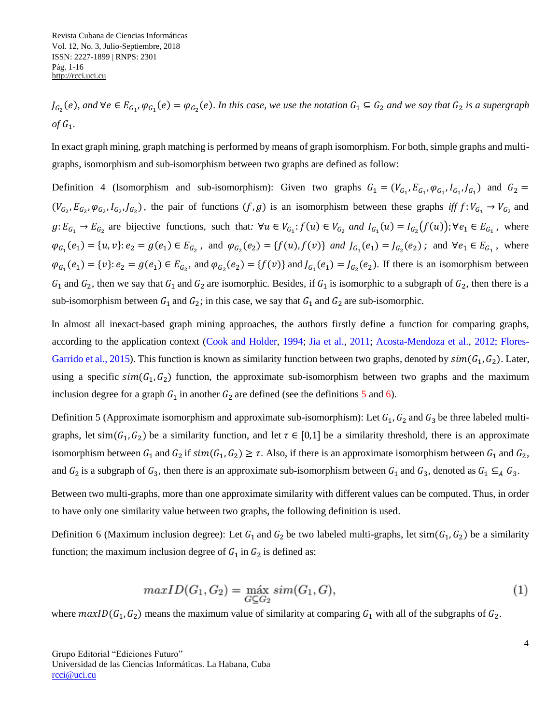$J_{G_2}(e)$ , and  $\forall e \in E_{G_1}, \varphi_{G_1}(e) = \varphi_{G_2}(e)$ . In this case, we use the notation  $G_1 \subseteq G_2$  and we say that  $G_2$  is a supergraph  $of G_1$ .

In exact graph mining, graph matching is performed by means of graph isomorphism. For both, simple graphs and multigraphs, isomorphism and sub-isomorphism between two graphs are defined as follow:

Definition 4 (Isomorphism and sub-isomorphism): Given two graphs  $G_1 = (V_{G_1}, E_{G_1}, \varphi_{G_1}, I_{G_1}, I_{G_1})$  and  $G_2 =$  $(V_{G_2}, E_{G_2}, \varphi_{G_2}, I_{G_2}, I_{G_2})$ , the pair of functions  $(f, g)$  is an isomorphism between these graphs *iff*  $f: V_{G_1} \to V_{G_2}$  and  $g: E_{G_1} \to E_{G_2}$  are bijective functions, such that:  $\forall u \in V_{G_1}: f(u) \in V_{G_2}$  and  $I_{G_1}(u) = I_{G_2}(f(u))$ ;  $\forall e_1 \in E_{G_1}$ , where  $\varphi_{G_1}(e_1) = \{u, v\} : e_2 = g(e_1) \in E_{G_2}$ , and  $\varphi_{G_2}(e_2) = \{f(u), f(v)\}$  and  $J_{G_1}(e_1) = J_{G_2}(e_2)$ ; and  $\forall e_1 \in E_{G_1}$ , where  $\varphi_{G_1}(e_1) = \{v\}$ :  $e_2 = g(e_1) \in E_{G_2}$ , and  $\varphi_{G_2}(e_2) = \{f(v)\}$  and  $J_{G_1}(e_1) = J_{G_2}(e_2)$ . If there is an isomorphism between  $G_1$  and  $G_2$ , then we say that  $G_1$  and  $G_2$  are isomorphic. Besides, if  $G_1$  is isomorphic to a subgraph of  $G_2$ , then there is a sub-isomorphism between  $G_1$  and  $G_2$ ; in this case, we say that  $G_1$  and  $G_2$  are sub-isomorphic.

In almost all inexact-based graph mining approaches, the authors firstly define a function for comparing graphs, according to the application context (Cook and Holder, 1994; Jia et al., 2011; Acosta-Mendoza et al., 2012; Flores-Garrido et al., 2015). This function is known as similarity function between two graphs, denoted by  $sim(G_1,G_2)$ . Later, using a specific  $sim(G_1,G_2)$  function, the approximate sub-isomorphism between two graphs and the maximum inclusion degree for a graph  $G_1$  in another  $G_2$  are defined (see the definitions 5 and 6).

Definition 5 (Approximate isomorphism and approximate sub-isomorphism): Let  $G_1$ ,  $G_2$  and  $G_3$  be three labeled multigraphs, let sim( $G_1, G_2$ ) be a similarity function, and let  $\tau \in [0,1]$  be a similarity threshold, there is an approximate isomorphism between  $G_1$  and  $G_2$  if  $sim(G_1,G_2) \geq \tau$ . Also, if there is an approximate isomorphism between  $G_1$  and  $G_2$ , and  $G_2$  is a subgraph of  $G_3$ , then there is an approximate sub-isomorphism between  $G_1$  and  $G_3$ , denoted as  $G_1 \subseteq_A G_3$ .

Between two multi-graphs, more than one approximate similarity with different values can be computed. Thus, in order to have only one similarity value between two graphs, the following definition is used.

Definition 6 (Maximum inclusion degree): Let  $G_1$  and  $G_2$  be two labeled multi-graphs, let sim( $G_1, G_2$ ) be a similarity function; the maximum inclusion degree of  $G_1$  in  $G_2$  is defined as:

$$
maxID(G_1, G_2) = \max_{G \subseteq G_2} sim(G_1, G), \qquad (1)
$$

where  $maxID(G_1,G_2)$  means the maximum value of similarity at comparing  $G_1$  with all of the subgraphs of  $G_2$ .

Grupo Editorial "Ediciones Futuro" Universidad de las Ciencias Informáticas. La Habana, Cuba [rcci@uci.cu](mailto:rcci@uci.cu)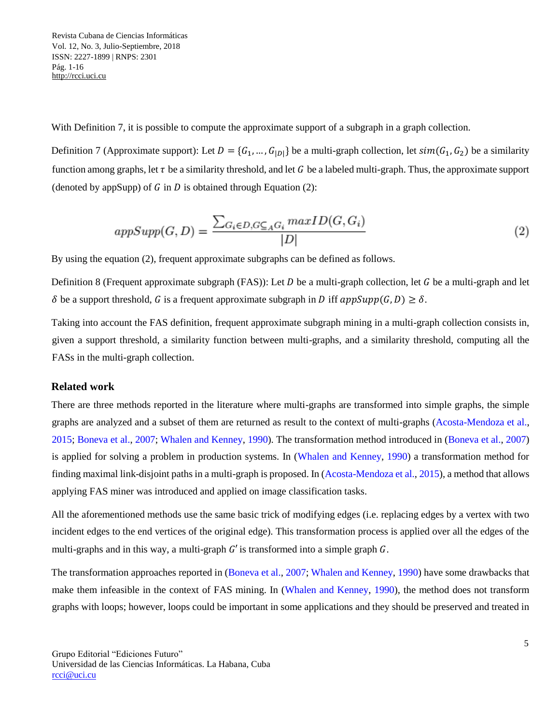With Definition 7, it is possible to compute the approximate support of a subgraph in a graph collection.

Definition 7 (Approximate support): Let  $D = \{G_1, ..., G_{|D|}\}\$ be a multi-graph collection, let  $sim(G_1, G_2)$  be a similarity function among graphs, let  $\tau$  be a similarity threshold, and let G be a labeled multi-graph. Thus, the approximate support (denoted by appSupp) of  $G$  in  $D$  is obtained through Equation (2):

$$
appSupp(G, D) = \frac{\sum_{G_i \in D, G \subseteq_A G_i} maxID(G, G_i)}{|D|}
$$
\n
$$
(2)
$$

By using the equation (2), frequent approximate subgraphs can be defined as follows.

Definition 8 (Frequent approximate subgraph (FAS)): Let  $D$  be a multi-graph collection, let  $G$  be a multi-graph and let  $\delta$  be a support threshold, G is a frequent approximate subgraph in D iff  $\alpha ppSupp(G,D) \geq \delta$ .

Taking into account the FAS definition, frequent approximate subgraph mining in a multi-graph collection consists in, given a support threshold, a similarity function between multi-graphs, and a similarity threshold, computing all the FASs in the multi-graph collection.

### **Related work**

There are three methods reported in the literature where multi-graphs are transformed into simple graphs, the simple graphs are analyzed and a subset of them are returned as result to the context of multi-graphs (Acosta-Mendoza et al., 2015; Boneva et al., 2007; Whalen and Kenney, 1990). The transformation method introduced in (Boneva et al., 2007) is applied for solving a problem in production systems. In (Whalen and Kenney, 1990) a transformation method for finding maximal link-disjoint paths in a multi-graph is proposed. In (Acosta-Mendoza et al., 2015), a method that allows applying FAS miner was introduced and applied on image classification tasks.

All the aforementioned methods use the same basic trick of modifying edges (i.e. replacing edges by a vertex with two incident edges to the end vertices of the original edge). This transformation process is applied over all the edges of the multi-graphs and in this way, a multi-graph  $G'$  is transformed into a simple graph  $G$ .

The transformation approaches reported in (Boneva et al., 2007; Whalen and Kenney, 1990) have some drawbacks that make them infeasible in the context of FAS mining. In (Whalen and Kenney, 1990), the method does not transform graphs with loops; however, loops could be important in some applications and they should be preserved and treated in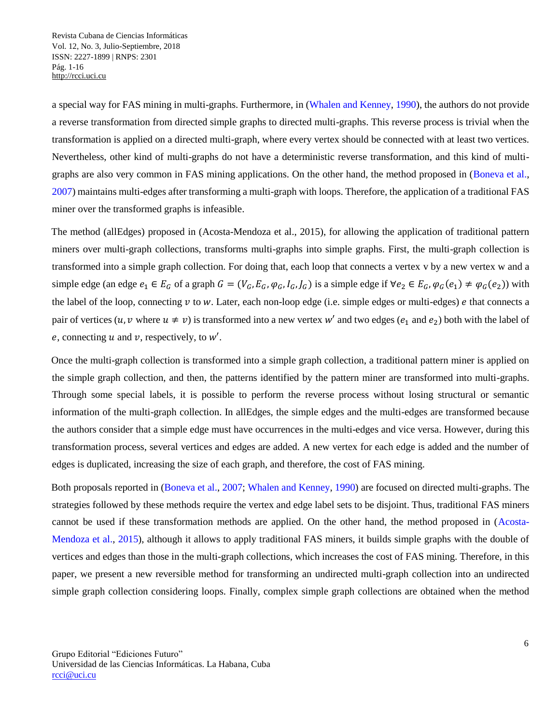a special way for FAS mining in multi-graphs. Furthermore, in (Whalen and Kenney, 1990), the authors do not provide a reverse transformation from directed simple graphs to directed multi-graphs. This reverse process is trivial when the transformation is applied on a directed multi-graph, where every vertex should be connected with at least two vertices. Nevertheless, other kind of multi-graphs do not have a deterministic reverse transformation, and this kind of multigraphs are also very common in FAS mining applications. On the other hand, the method proposed in (Boneva et al., 2007) maintains multi-edges after transforming a multi-graph with loops. Therefore, the application of a traditional FAS miner over the transformed graphs is infeasible.

The method (allEdges) proposed in (Acosta-Mendoza et al., 2015), for allowing the application of traditional pattern miners over multi-graph collections, transforms multi-graphs into simple graphs. First, the multi-graph collection is transformed into a simple graph collection. For doing that, each loop that connects a vertex v by a new vertex w and a simple edge (an edge  $e_1 \in E_G$  of a graph  $G = (V_G, E_G, \varphi_G, I_G, J_G)$  is a simple edge if  $\forall e_2 \in E_G, \varphi_G(e_1) \neq \varphi_G(e_2)$ ) with the label of the loop, connecting  $v$  to  $w$ . Later, each non-loop edge (i.e. simple edges or multi-edges)  $e$  that connects a pair of vertices  $(u, v$  where  $u \neq v$ ) is transformed into a new vertex w' and two edges  $(e_1$  and  $e_2)$  both with the label of e, connecting  $u$  and  $v$ , respectively, to  $w'$ .

Once the multi-graph collection is transformed into a simple graph collection, a traditional pattern miner is applied on the simple graph collection, and then, the patterns identified by the pattern miner are transformed into multi-graphs. Through some special labels, it is possible to perform the reverse process without losing structural or semantic information of the multi-graph collection. In allEdges, the simple edges and the multi-edges are transformed because the authors consider that a simple edge must have occurrences in the multi-edges and vice versa. However, during this transformation process, several vertices and edges are added. A new vertex for each edge is added and the number of edges is duplicated, increasing the size of each graph, and therefore, the cost of FAS mining.

Both proposals reported in (Boneva et al., 2007; Whalen and Kenney, 1990) are focused on directed multi-graphs. The strategies followed by these methods require the vertex and edge label sets to be disjoint. Thus, traditional FAS miners cannot be used if these transformation methods are applied. On the other hand, the method proposed in (Acosta-Mendoza et al., 2015), although it allows to apply traditional FAS miners, it builds simple graphs with the double of vertices and edges than those in the multi-graph collections, which increases the cost of FAS mining. Therefore, in this paper, we present a new reversible method for transforming an undirected multi-graph collection into an undirected simple graph collection considering loops. Finally, complex simple graph collections are obtained when the method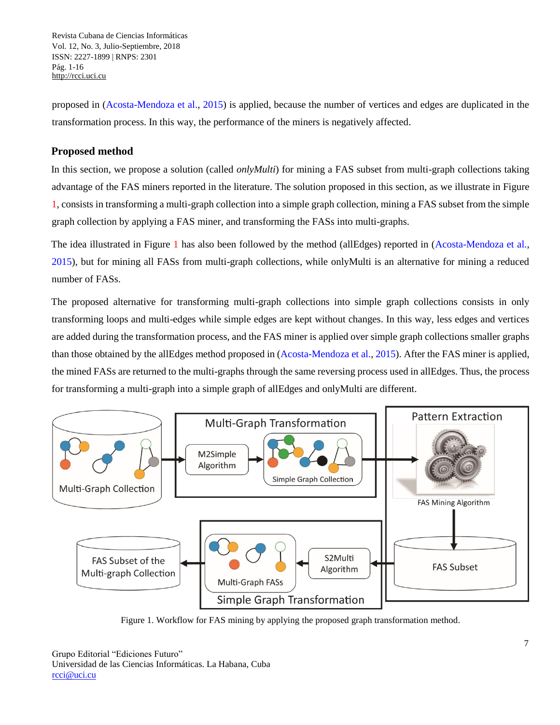proposed in (Acosta-Mendoza et al., 2015) is applied, because the number of vertices and edges are duplicated in the transformation process. In this way, the performance of the miners is negatively affected.

## **Proposed method**

In this section, we propose a solution (called *onlyMulti*) for mining a FAS subset from multi-graph collections taking advantage of the FAS miners reported in the literature. The solution proposed in this section, as we illustrate in Figure 1, consists in transforming a multi-graph collection into a simple graph collection, mining a FAS subset from the simple graph collection by applying a FAS miner, and transforming the FASs into multi-graphs.

The idea illustrated in Figure 1 has also been followed by the method (allEdges) reported in (Acosta-Mendoza et al., 2015), but for mining all FASs from multi-graph collections, while onlyMulti is an alternative for mining a reduced number of FASs.

The proposed alternative for transforming multi-graph collections into simple graph collections consists in only transforming loops and multi-edges while simple edges are kept without changes. In this way, less edges and vertices are added during the transformation process, and the FAS miner is applied over simple graph collections smaller graphs than those obtained by the allEdges method proposed in (Acosta-Mendoza et al., 2015). After the FAS miner is applied, the mined FASs are returned to the multi-graphs through the same reversing process used in allEdges. Thus, the process for transforming a multi-graph into a simple graph of allEdges and onlyMulti are different.



Figure 1. Workflow for FAS mining by applying the proposed graph transformation method.

Grupo Editorial "Ediciones Futuro" Universidad de las Ciencias Informáticas. La Habana, Cuba [rcci@uci.cu](mailto:rcci@uci.cu)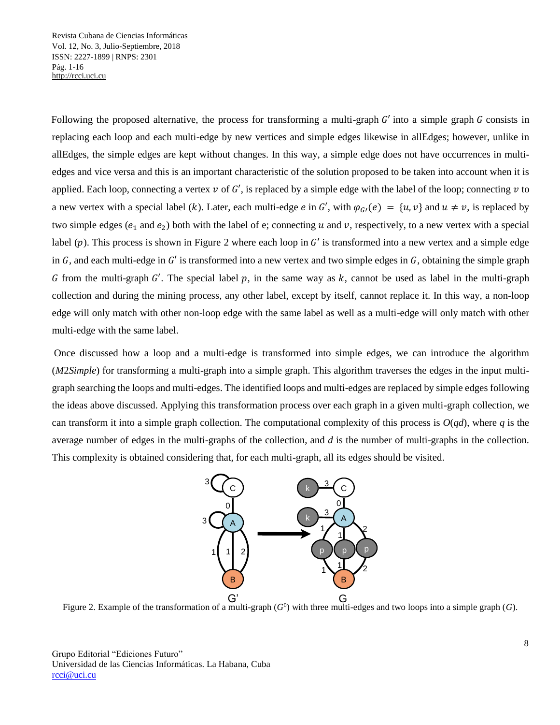Following the proposed alternative, the process for transforming a multi-graph  $G'$  into a simple graph  $G$  consists in replacing each loop and each multi-edge by new vertices and simple edges likewise in allEdges; however, unlike in allEdges, the simple edges are kept without changes. In this way, a simple edge does not have occurrences in multiedges and vice versa and this is an important characteristic of the solution proposed to be taken into account when it is applied. Each loop, connecting a vertex  $v$  of  $G'$ , is replaced by a simple edge with the label of the loop; connecting  $v$  to a new vertex with a special label (k). Later, each multi-edge  $e$  in G', with  $\varphi_{G}$  (e) =  $\{u, v\}$  and  $u \neq v$ , is replaced by two simple edges ( $e_1$  and  $e_2$ ) both with the label of e; connecting u and v, respectively, to a new vertex with a special label  $(p)$ . This process is shown in Figure 2 where each loop in G' is transformed into a new vertex and a simple edge in G, and each multi-edge in G' is transformed into a new vertex and two simple edges in G, obtaining the simple graph G from the multi-graph G'. The special label p, in the same way as k, cannot be used as label in the multi-graph collection and during the mining process, any other label, except by itself, cannot replace it. In this way, a non-loop edge will only match with other non-loop edge with the same label as well as a multi-edge will only match with other multi-edge with the same label.

Once discussed how a loop and a multi-edge is transformed into simple edges, we can introduce the algorithm (*M*2*Simple*) for transforming a multi-graph into a simple graph. This algorithm traverses the edges in the input multigraph searching the loops and multi-edges. The identified loops and multi-edges are replaced by simple edges following the ideas above discussed. Applying this transformation process over each graph in a given multi-graph collection, we can transform it into a simple graph collection. The computational complexity of this process is  $O(qd)$ , where  $q$  is the average number of edges in the multi-graphs of the collection, and *d* is the number of multi-graphs in the collection. This complexity is obtained considering that, for each multi-graph, all its edges should be visited.



Figure 2. Example of the transformation of a multi-graph  $(G^0)$  with three multi-edges and two loops into a simple graph  $(G)$ .

Grupo Editorial "Ediciones Futuro" Universidad de las Ciencias Informáticas. La Habana, Cuba [rcci@uci.cu](mailto:rcci@uci.cu)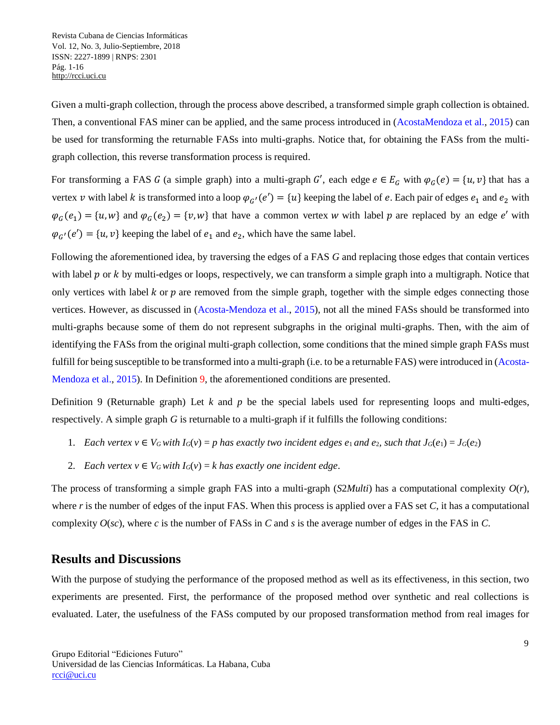Given a multi-graph collection, through the process above described, a transformed simple graph collection is obtained. Then, a conventional FAS miner can be applied, and the same process introduced in (AcostaMendoza et al., 2015) can be used for transforming the returnable FASs into multi-graphs. Notice that, for obtaining the FASs from the multigraph collection, this reverse transformation process is required.

For transforming a FAS G (a simple graph) into a multi-graph G', each edge  $e \in E_G$  with  $\varphi_G(e) = \{u, v\}$  that has a vertex v with label k is transformed into a loop  $\varphi_{G'}(e') = \{u\}$  keeping the label of e. Each pair of edges  $e_1$  and  $e_2$  with  $\varphi_G(e_1) = \{u, w\}$  and  $\varphi_G(e_2) = \{v, w\}$  that have a common vertex w with label p are replaced by an edge e' with  $\varphi_{G'}(e') = \{u, v\}$  keeping the label of  $e_1$  and  $e_2$ , which have the same label.

Following the aforementioned idea, by traversing the edges of a FAS *G* and replacing those edges that contain vertices with label  $p$  or  $k$  by multi-edges or loops, respectively, we can transform a simple graph into a multigraph. Notice that only vertices with label  $k$  or  $p$  are removed from the simple graph, together with the simple edges connecting those vertices. However, as discussed in (Acosta-Mendoza et al., 2015), not all the mined FASs should be transformed into multi-graphs because some of them do not represent subgraphs in the original multi-graphs. Then, with the aim of identifying the FASs from the original multi-graph collection, some conditions that the mined simple graph FASs must fulfill for being susceptible to be transformed into a multi-graph (i.e. to be a returnable FAS) were introduced in (Acosta-Mendoza et al., 2015). In Definition 9, the aforementioned conditions are presented.

Definition 9 (Returnable graph) Let *k* and *p* be the special labels used for representing loops and multi-edges, respectively. A simple graph *G* is returnable to a multi-graph if it fulfills the following conditions:

- 1. Each vertex  $v \in V_G$  with  $I_G(v) = p$  has exactly two incident edges  $e_1$  and  $e_2$ , such that  $J_G(e_1) = J_G(e_2)$
- 2. *Each vertex*  $v \in V_G$  *with*  $I_G(v) = k$  has exactly one incident edge.

The process of transforming a simple graph FAS into a multi-graph  $(S2Multi)$  has a computational complexity  $O(r)$ , where *r* is the number of edges of the input FAS. When this process is applied over a FAS set *C*, it has a computational complexity  $O(sc)$ , where *c* is the number of FASs in *C* and *s* is the average number of edges in the FAS in *C*.

## **Results and Discussions**

With the purpose of studying the performance of the proposed method as well as its effectiveness, in this section, two experiments are presented. First, the performance of the proposed method over synthetic and real collections is evaluated. Later, the usefulness of the FASs computed by our proposed transformation method from real images for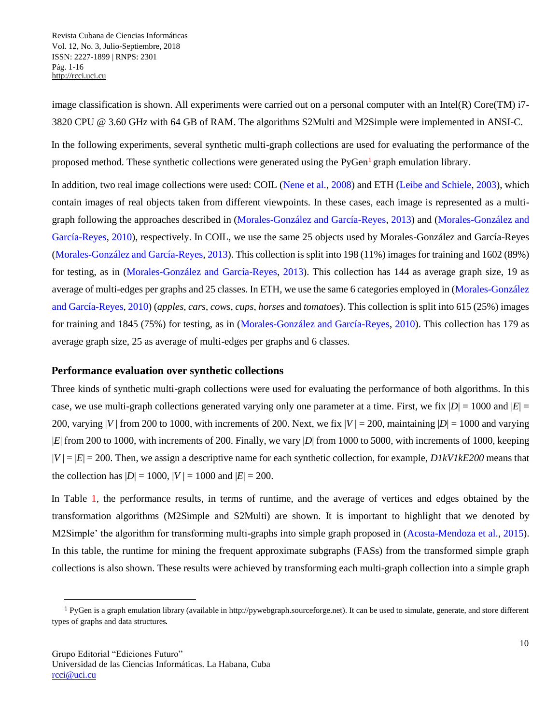image classification is shown. All experiments were carried out on a personal computer with an Intel $(R)$  Core $(TM)$  i7-3820 CPU @ 3.60 GHz with 64 GB of RAM. The algorithms S2Multi and M2Simple were implemented in ANSI-C.

In the following experiments, several synthetic multi-graph collections are used for evaluating the performance of the proposed method. These synthetic collections were generated using the PyGen<sup>1</sup> graph emulation library.

In addition, two real image collections were used: COIL (Nene et al., 2008) and ETH (Leibe and Schiele, 2003), which contain images of real objects taken from different viewpoints. In these cases, each image is represented as a multigraph following the approaches described in (Morales-González and García-Reyes, 2013) and (Morales-González and García-Reyes, 2010), respectively. In COIL, we use the same 25 objects used by Morales-González and García-Reyes (Morales-González and García-Reyes, 2013). This collection is split into 198 (11%) images for training and 1602 (89%) for testing, as in (Morales-González and García-Reyes, 2013). This collection has 144 as average graph size, 19 as average of multi-edges per graphs and 25 classes. In ETH, we use the same 6 categories employed in (Morales-González and García-Reyes, 2010) (*apples*, *cars*, *cows*, *cups*, *horses* and *tomatoes*). This collection is split into 615 (25%) images for training and 1845 (75%) for testing, as in (Morales-González and García-Reyes, 2010). This collection has 179 as average graph size, 25 as average of multi-edges per graphs and 6 classes.

### **Performance evaluation over synthetic collections**

Three kinds of synthetic multi-graph collections were used for evaluating the performance of both algorithms. In this case, we use multi-graph collections generated varying only one parameter at a time. First, we fix  $|D| = 1000$  and  $|E| =$ 200, varying |*V* | from 200 to 1000, with increments of 200. Next, we fix  $|V| = 200$ , maintaining  $|D| = 1000$  and varying |*E*| from 200 to 1000, with increments of 200. Finally, we vary |*D*| from 1000 to 5000, with increments of 1000, keeping  $|V| = |E| = 200$ . Then, we assign a descriptive name for each synthetic collection, for example, *D1kV1kE200* means that the collection has  $|D| = 1000$ ,  $|V| = 1000$  and  $|E| = 200$ .

In Table 1, the performance results, in terms of runtime, and the average of vertices and edges obtained by the transformation algorithms (M2Simple and S2Multi) are shown. It is important to highlight that we denoted by M2Simple' the algorithm for transforming multi-graphs into simple graph proposed in (Acosta-Mendoza et al., 2015). In this table, the runtime for mining the frequent approximate subgraphs (FASs) from the transformed simple graph collections is also shown. These results were achieved by transforming each multi-graph collection into a simple graph

l

 $1$  PyGen is a graph emulation library (available in http://pywebgraph.sourceforge.net). It can be used to simulate, generate, and store different types of graphs and data structures.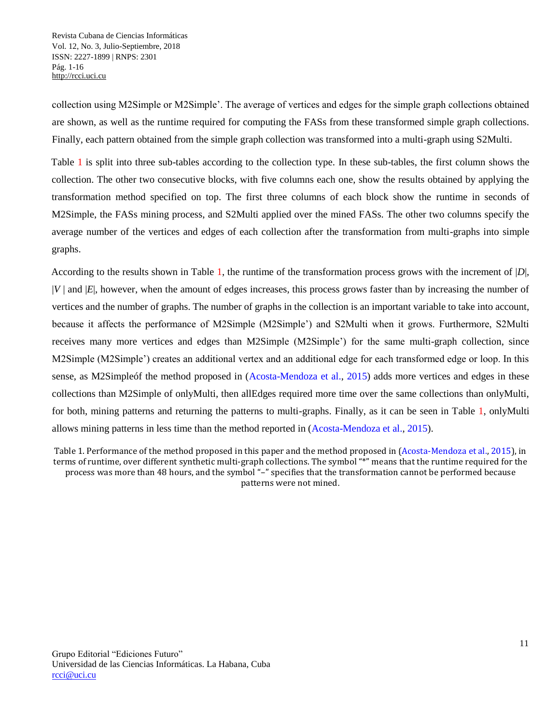collection using M2Simple or M2Simple'. The average of vertices and edges for the simple graph collections obtained are shown, as well as the runtime required for computing the FASs from these transformed simple graph collections. Finally, each pattern obtained from the simple graph collection was transformed into a multi-graph using S2Multi.

Table 1 is split into three sub-tables according to the collection type. In these sub-tables, the first column shows the collection. The other two consecutive blocks, with five columns each one, show the results obtained by applying the transformation method specified on top. The first three columns of each block show the runtime in seconds of M2Simple, the FASs mining process, and S2Multi applied over the mined FASs. The other two columns specify the average number of the vertices and edges of each collection after the transformation from multi-graphs into simple graphs.

According to the results shown in Table 1, the runtime of the transformation process grows with the increment of |*D*|, |*V* | and |*E*|, however, when the amount of edges increases, this process grows faster than by increasing the number of vertices and the number of graphs. The number of graphs in the collection is an important variable to take into account, because it affects the performance of M2Simple (M2Simple') and S2Multi when it grows. Furthermore, S2Multi receives many more vertices and edges than M2Simple (M2Simple') for the same multi-graph collection, since M2Simple (M2Simple') creates an additional vertex and an additional edge for each transformed edge or loop. In this sense, as M2Simpleóf the method proposed in (Acosta-Mendoza et al., 2015) adds more vertices and edges in these collections than M2Simple of onlyMulti, then allEdges required more time over the same collections than onlyMulti, for both, mining patterns and returning the patterns to multi-graphs. Finally, as it can be seen in Table 1, onlyMulti allows mining patterns in less time than the method reported in (Acosta-Mendoza et al., 2015).

Table 1. Performance of the method proposed in this paper and the method proposed in (Acosta-Mendoza et al., 2015), in terms of runtime, over different synthetic multi-graph collections. The symbol "\*" means that the runtime required for the process was more than 48 hours, and the symbol "–" specifies that the transformation cannot be performed because patterns were not mined.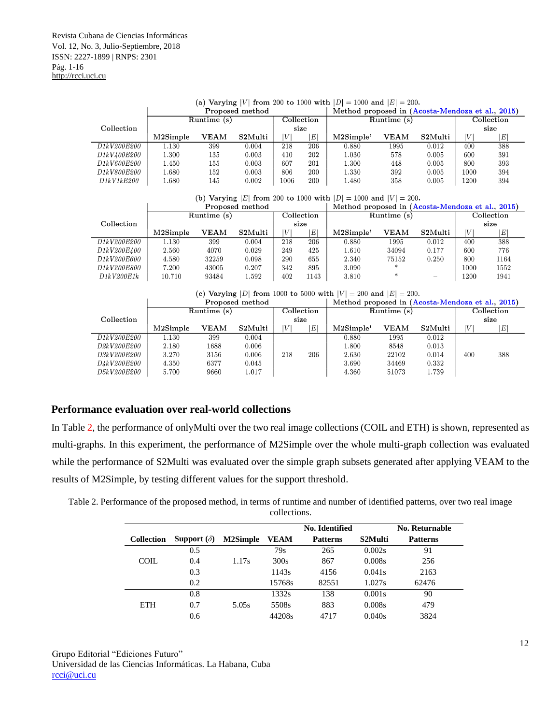| (a) Varying  V  from 200 to 1000 with $ D  = 1000$ and $ E  = 200$ . |             |                 |         |                                                  |                  |           |             |         |      |             |
|----------------------------------------------------------------------|-------------|-----------------|---------|--------------------------------------------------|------------------|-----------|-------------|---------|------|-------------|
|                                                                      |             | Proposed method |         | Method proposed in (Acosta-Mendoza et al., 2015) |                  |           |             |         |      |             |
|                                                                      | Runtime (s) | Collection      |         | Runtime $(s)$                                    | $\rm Collection$ |           |             |         |      |             |
| Collection                                                           |             |                 |         |                                                  | size             |           |             | size    |      |             |
|                                                                      | M2Simple    | <b>VEAM</b>     | S2Multi | V                                                | E'               | M2Simple' | <b>VEAM</b> | S2Multi | V    | $E^{\perp}$ |
| D <sub>1</sub> kV <sub>200</sub> E <sub>200</sub>                    | 1.130       | 399             | 0.004   | 218                                              | 206              | 0.880     | 1995        | 0.012   | 400  | 388         |
| D1kV400E200                                                          | 1.300       | 135             | 0.003   | 410                                              | 202              | $1.030\,$ | 578         | 0.005   | 600  | 391         |
| <i>D1kV600E200</i>                                                   | 1.450       | 155             | 0.003   | 607                                              | 201              | 1.300     | 448         | 0.005   | 800  | 393         |
| D1kV800E200                                                          | 1.680       | 152             | 0.003   | 806                                              | 200              | 1.330     | 392         | 0.005   | 1000 | 394         |
| D1kV1kE200                                                           | 1.680       | 145             | 0.002   | 1006                                             | 200              | 1.480     | 358         | 0.005   | 1200 | 394         |

(b) Varying |E| from 200 to 1000 with  $|D| = 1000$  and  $|V| = 200$ .

|             | Proposed method |              |         |     |                     | Method proposed in (Acosta-Mendoza et al., 2015) |                     |         |      |               |
|-------------|-----------------|--------------|---------|-----|---------------------|--------------------------------------------------|---------------------|---------|------|---------------|
|             | Runtime(s)      |              |         |     | $_{\rm Collection}$ | Runtime (s)                                      | $_{\rm Collection}$ |         |      |               |
| Collection  |                 | size         |         |     |                     |                                                  | size                |         |      |               |
|             | M2Simple        | ${\tt VEAM}$ | S2Multi | V   | ΙE                  | M2Simple'                                        | <b>VEAM</b>         | S2Multi | V    | $E^{\dagger}$ |
| D1kV200E200 | 1.130           | 399          | 0.004   | 218 | 206                 | 0.880                                            | 1995                | 0.012   | 400  | 388           |
| D1kV200E400 | 2.560           | 4070         | 0.029   | 249 | 425                 | 1.610                                            | 34094               | 0.177   | 600  | 776           |
| D1kV200E600 | 4.580           | 32259        | 0.098   | 290 | 655                 | 2.340                                            | 75152               | 0.250   | 800  | 1164          |
| D1kV200E800 | 7.200           | 43005        | 0.207   | 342 | 895                 | 3.090                                            |                     |         | 1000 | 1552          |
| D1kV200E1k  | 10.710          | 93484        | 1.592   | 402 | 1143                | 3.810                                            | $\ast$              |         | 1200 | 1941          |

| (c) Varying  D  from 1000 to 5000 with $ V  = 200$ and $ E  = 200$ |  |  |  |  |  |  |
|--------------------------------------------------------------------|--|--|--|--|--|--|
|                                                                    |  |  |  |  |  |  |

| Proposed method                      |               |             |         |            |     | Method proposed in (Acosta-Mendoza et al., 2015) |             |         |     |          |  |
|--------------------------------------|---------------|-------------|---------|------------|-----|--------------------------------------------------|-------------|---------|-----|----------|--|
|                                      | Runtime $(s)$ |             |         | Collection |     | Runtime (s)                                      | Collection  |         |     |          |  |
| Collection                           |               | size        |         |            |     |                                                  |             | size    |     |          |  |
|                                      | M2Simple      | <b>VEAM</b> | S2Multi | V          | E   | M2Simple'                                        | <b>VEAM</b> | S2Multi | IV  | $E\vert$ |  |
| D1kV200E200                          | 1.130         | 399         | 0.004   |            |     | 0.880                                            | 1995        | 0.012   |     |          |  |
| D <sub>2k</sub> V <sub>200E200</sub> | 2.180         | 1688        | 0.006   |            |     | 1.800                                            | 8548        | 0.013   |     |          |  |
| <i>D3kV200E200</i>                   | 3.270         | 3156        | 0.006   | 218        | 206 | 2.630                                            | 22102       | 0.014   | 400 | 388      |  |
| <i>D4kV200E200</i>                   | 4.350         | 6377        | 0.045   |            |     | 3.690                                            | 34469       | 0.332   |     |          |  |
| D5kV200E200                          | 5.700         | 9660        | 1.017   |            |     | 4.360                                            | 51073       | 1.739   |     |          |  |

#### **Performance evaluation over real-world collections**

In Table 2, the performance of onlyMulti over the two real image collections (COIL and ETH) is shown, represented as multi-graphs. In this experiment, the performance of M2Simple over the whole multi-graph collection was evaluated while the performance of S2Multi was evaluated over the simple graph subsets generated after applying VEAM to the results of M2Simple, by testing different values for the support threshold.

Table 2. Performance of the proposed method, in terms of runtime and number of identified patterns, over two real image collections.

|                   |                    |                 |             | No. Identified  |         | No. Returnable  |
|-------------------|--------------------|-----------------|-------------|-----------------|---------|-----------------|
| <b>Collection</b> | Support $(\delta)$ | <b>M2Simple</b> | <b>VEAM</b> | <b>Patterns</b> | S2Multi | <b>Patterns</b> |
|                   | 0.5                |                 | 79s         | 265             | 0.002s  | 91              |
| COIL.             | 0.4                | 1.17s           | 300s        | 867             | 0.008s  | 256             |
|                   | 0.3                |                 | 1143s       | 4156            | 0.041s  | 2163            |
|                   | 0.2                |                 | 15768s      | 82551           | 1.027s  | 62476           |
|                   | 0.8                |                 | 1332s       | 138             | 0.001s  | 90              |
| <b>ETH</b>        | 0.7                | 5.05s           | 5508s       | 883             | 0.008s  | 479             |
|                   | 0.6                |                 | 44208s      | 4717            | 0.040s  | 3824            |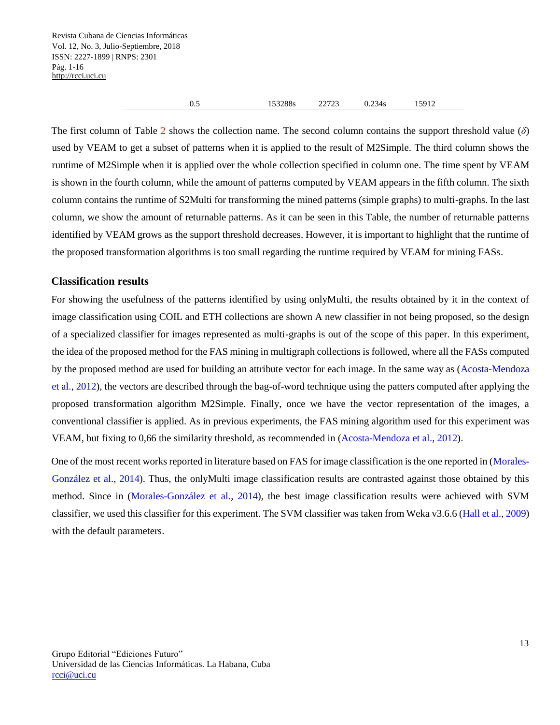| 153288s<br>0.5 | 22723 | 0.234s | 15912 |  |
|----------------|-------|--------|-------|--|
|----------------|-------|--------|-------|--|

The first column of Table 2 shows the collection name. The second column contains the support threshold value (*δ*) used by VEAM to get a subset of patterns when it is applied to the result of M2Simple. The third column shows the runtime of M2Simple when it is applied over the whole collection specified in column one. The time spent by VEAM is shown in the fourth column, while the amount of patterns computed by VEAM appears in the fifth column. The sixth column contains the runtime of S2Multi for transforming the mined patterns (simple graphs) to multi-graphs. In the last column, we show the amount of returnable patterns. As it can be seen in this Table, the number of returnable patterns identified by VEAM grows as the support threshold decreases. However, it is important to highlight that the runtime of the proposed transformation algorithms is too small regarding the runtime required by VEAM for mining FASs.

### **Classification results**

For showing the usefulness of the patterns identified by using onlyMulti, the results obtained by it in the context of image classification using COIL and ETH collections are shown A new classifier in not being proposed, so the design of a specialized classifier for images represented as multi-graphs is out of the scope of this paper. In this experiment, the idea of the proposed method for the FAS mining in multigraph collections is followed, where all the FASs computed by the proposed method are used for building an attribute vector for each image. In the same way as (Acosta-Mendoza et al., 2012), the vectors are described through the bag-of-word technique using the patters computed after applying the proposed transformation algorithm M2Simple. Finally, once we have the vector representation of the images, a conventional classifier is applied. As in previous experiments, the FAS mining algorithm used for this experiment was VEAM, but fixing to 0*,*66 the similarity threshold, as recommended in (Acosta-Mendoza et al., 2012).

One of the most recent works reported in literature based on FAS for image classification is the one reported in (Morales-González et al., 2014). Thus, the onlyMulti image classification results are contrasted against those obtained by this method. Since in (Morales-González et al., 2014), the best image classification results were achieved with SVM classifier, we used this classifier for this experiment. The SVM classifier was taken from Weka v3.6.6 (Hall et al., 2009) with the default parameters.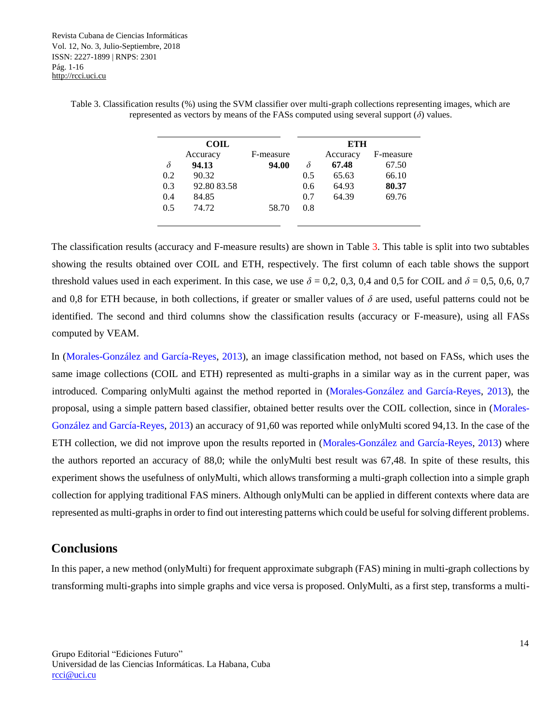Table 3. Classification results (%) using the SVM classifier over multi-graph collections representing images, which are represented as vectors by means of the FASs computed using several support  $(\delta)$  values.

|          | <b>COIL</b> |           | <b>ETH</b> |          |           |  |  |
|----------|-------------|-----------|------------|----------|-----------|--|--|
|          | Accuracy    | F-measure |            | Accuracy | F-measure |  |  |
| $\delta$ | 94.13       | 94.00     | δ          | 67.48    | 67.50     |  |  |
| 0.2      | 90.32       |           | 0.5        | 65.63    | 66.10     |  |  |
| 0.3      | 92.80 83.58 |           | 0.6        | 64.93    | 80.37     |  |  |
| 0.4      | 84.85       |           | 0.7        | 64.39    | 69.76     |  |  |
| 0.5      | 74.72       | 58.70     | 0.8        |          |           |  |  |

The classification results (accuracy and F-measure results) are shown in Table 3. This table is split into two subtables showing the results obtained over COIL and ETH, respectively. The first column of each table shows the support threshold values used in each experiment. In this case, we use  $\delta = 0.2, 0.3, 0.4$  and 0.5 for COIL and  $\delta = 0.5, 0.6, 0.7$ and 0*,*8 for ETH because, in both collections, if greater or smaller values of *δ* are used, useful patterns could not be identified. The second and third columns show the classification results (accuracy or F-measure), using all FASs computed by VEAM.

In (Morales-González and García-Reyes, 2013), an image classification method, not based on FASs, which uses the same image collections (COIL and ETH) represented as multi-graphs in a similar way as in the current paper, was introduced. Comparing onlyMulti against the method reported in (Morales-González and García-Reyes, 2013), the proposal, using a simple pattern based classifier, obtained better results over the COIL collection, since in (Morales-González and García-Reyes, 2013) an accuracy of 91*,*60 was reported while onlyMulti scored 94*,*13. In the case of the ETH collection, we did not improve upon the results reported in (Morales-González and García-Reyes, 2013) where the authors reported an accuracy of 88*,*0; while the onlyMulti best result was 67*,*48. In spite of these results, this experiment shows the usefulness of onlyMulti, which allows transforming a multi-graph collection into a simple graph collection for applying traditional FAS miners. Although onlyMulti can be applied in different contexts where data are represented as multi-graphs in order to find out interesting patterns which could be useful for solving different problems.

## **Conclusions**

In this paper, a new method (onlyMulti) for frequent approximate subgraph (FAS) mining in multi-graph collections by transforming multi-graphs into simple graphs and vice versa is proposed. OnlyMulti, as a first step, transforms a multi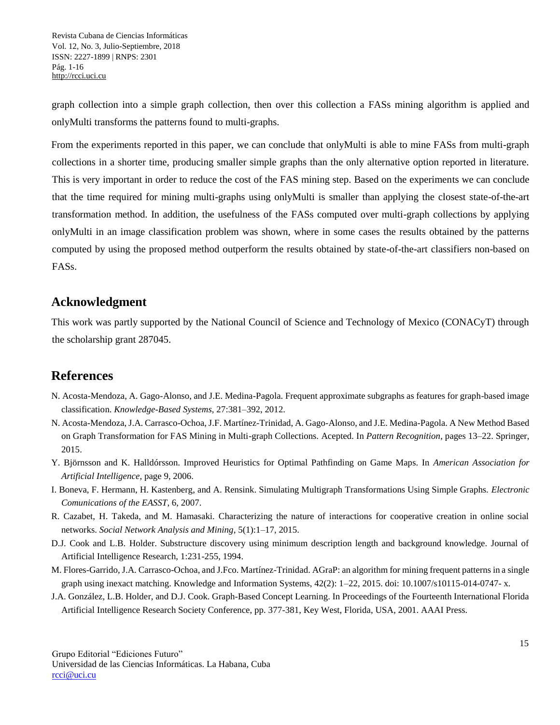graph collection into a simple graph collection, then over this collection a FASs mining algorithm is applied and onlyMulti transforms the patterns found to multi-graphs.

From the experiments reported in this paper, we can conclude that onlyMulti is able to mine FASs from multi-graph collections in a shorter time, producing smaller simple graphs than the only alternative option reported in literature. This is very important in order to reduce the cost of the FAS mining step. Based on the experiments we can conclude that the time required for mining multi-graphs using onlyMulti is smaller than applying the closest state-of-the-art transformation method. In addition, the usefulness of the FASs computed over multi-graph collections by applying onlyMulti in an image classification problem was shown, where in some cases the results obtained by the patterns computed by using the proposed method outperform the results obtained by state-of-the-art classifiers non-based on FASs.

## **Acknowledgment**

This work was partly supported by the National Council of Science and Technology of Mexico (CONACyT) through the scholarship grant 287045.

# **References**

- N. Acosta-Mendoza, A. Gago-Alonso, and J.E. Medina-Pagola. Frequent approximate subgraphs as features for graph-based image classification. *Knowledge-Based Systems*, 27:381–392, 2012.
- N. Acosta-Mendoza, J.A. Carrasco-Ochoa, J.F. Martínez-Trinidad, A. Gago-Alonso, and J.E. Medina-Pagola. A New Method Based on Graph Transformation for FAS Mining in Multi-graph Collections. Acepted. In *Pattern Recognition*, pages 13–22. Springer, 2015.
- Y. Björnsson and K. Halldórsson. Improved Heuristics for Optimal Pathfinding on Game Maps. In *American Association for Artificial Intelligence*, page 9, 2006.
- I. Boneva, F. Hermann, H. Kastenberg, and A. Rensink. Simulating Multigraph Transformations Using Simple Graphs. *Electronic Comunications of the EASST*, 6, 2007.
- R. Cazabet, H. Takeda, and M. Hamasaki. Characterizing the nature of interactions for cooperative creation in online social networks. *Social Network Analysis and Mining*, 5(1):1–17, 2015.
- D.J. Cook and L.B. Holder. Substructure discovery using minimum description length and background knowledge. Journal of Artificial Intelligence Research, 1:231-255, 1994.
- M. Flores-Garrido, J.A. Carrasco-Ochoa, and J.Fco. Martínez-Trinidad. AGraP: an algorithm for mining frequent patterns in a single graph using inexact matching. Knowledge and Information Systems, 42(2): 1–22, 2015. doi: 10.1007/s10115-014-0747- x.
- J.A. González, L.B. Holder, and D.J. Cook. Graph-Based Concept Learning. In Proceedings of the Fourteenth International Florida Artificial Intelligence Research Society Conference, pp. 377-381, Key West, Florida, USA, 2001. AAAI Press.